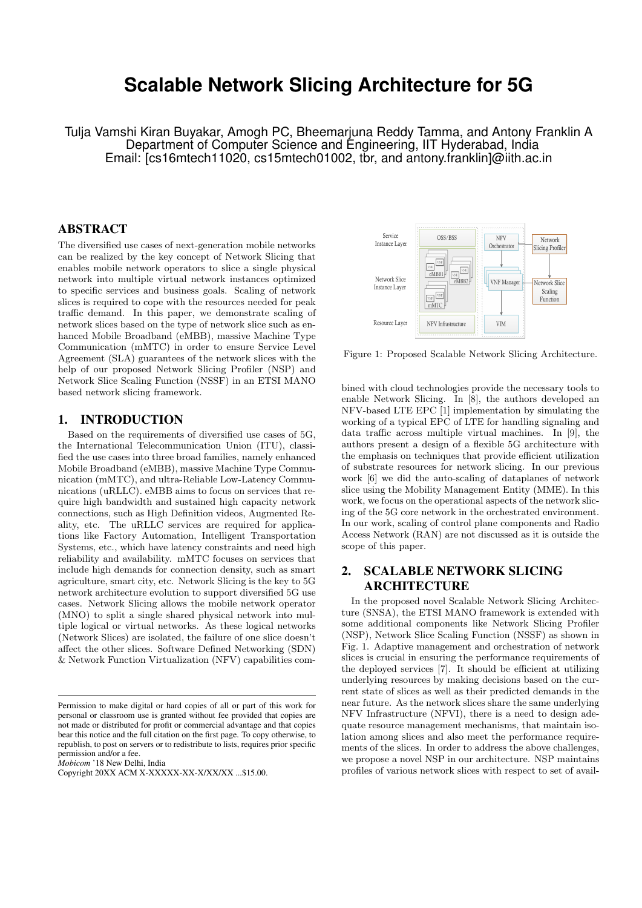# **Scalable Network Slicing Architecture for 5G**

Tulja Vamshi Kiran Buyakar, Amogh PC, Bheemarjuna Reddy Tamma, and Antony Franklin A Department of Computer Science and Engineering, IIT Hyderabad, India Email: [cs16mtech11020, cs15mtech01002, tbr, and antony.franklin]@iith.ac.in

### ABSTRACT

The diversified use cases of next-generation mobile networks can be realized by the key concept of Network Slicing that enables mobile network operators to slice a single physical network into multiple virtual network instances optimized to specific services and business goals. Scaling of network slices is required to cope with the resources needed for peak traffic demand. In this paper, we demonstrate scaling of network slices based on the type of network slice such as enhanced Mobile Broadband (eMBB), massive Machine Type Communication (mMTC) in order to ensure Service Level Agreement (SLA) guarantees of the network slices with the help of our proposed Network Slicing Profiler (NSP) and Network Slice Scaling Function (NSSF) in an ETSI MANO based network slicing framework.

#### 1. INTRODUCTION

Based on the requirements of diversified use cases of 5G, the International Telecommunication Union (ITU), classified the use cases into three broad families, namely enhanced Mobile Broadband (eMBB), massive Machine Type Communication (mMTC), and ultra-Reliable Low-Latency Communications (uRLLC). eMBB aims to focus on services that require high bandwidth and sustained high capacity network connections, such as High Definition videos, Augmented Reality, etc. The uRLLC services are required for applications like Factory Automation, Intelligent Transportation Systems, etc., which have latency constraints and need high reliability and availability. mMTC focuses on services that include high demands for connection density, such as smart agriculture, smart city, etc. Network Slicing is the key to 5G network architecture evolution to support diversified 5G use cases. Network Slicing allows the mobile network operator (MNO) to split a single shared physical network into multiple logical or virtual networks. As these logical networks (Network Slices) are isolated, the failure of one slice doesn't affect the other slices. Software Defined Networking (SDN) & Network Function Virtualization (NFV) capabilities com-

*Mobicom* '18 New Delhi, India



Figure 1: Proposed Scalable Network Slicing Architecture.

bined with cloud technologies provide the necessary tools to enable Network Slicing. In [8], the authors developed an NFV-based LTE EPC  $[1]$  implementation by simulating the working of a typical EPC of LTE for handling signaling and data traffic across multiple virtual machines. In [9], the authors present a design of a flexible 5G architecture with the emphasis on techniques that provide efficient utilization of substrate resources for network slicing. In our previous work [6] we did the auto-scaling of dataplanes of network slice using the Mobility Management Entity (MME). In this work, we focus on the operational aspects of the network slicing of the 5G core network in the orchestrated environment. In our work, scaling of control plane components and Radio Access Network (RAN) are not discussed as it is outside the scope of this paper.

## 2. SCALABLE NETWORK SLICING ARCHITECTURE

In the proposed novel Scalable Network Slicing Architecture (SNSA), the ETSI MANO framework is extended with some additional components like Network Slicing Profiler (NSP), Network Slice Scaling Function (NSSF) as shown in Fig. 1. Adaptive management and orchestration of network slices is crucial in ensuring the performance requirements of the deployed services [7]. It should be efficient at utilizing underlying resources by making decisions based on the current state of slices as well as their predicted demands in the near future. As the network slices share the same underlying NFV Infrastructure (NFVI), there is a need to design adequate resource management mechanisms, that maintain isolation among slices and also meet the performance requirements of the slices. In order to address the above challenges, we propose a novel NSP in our architecture. NSP maintains profiles of various network slices with respect to set of avail-

Permission to make digital or hard copies of all or part of this work for personal or classroom use is granted without fee provided that copies are not made or distributed for profit or commercial advantage and that copies bear this notice and the full citation on the first page. To copy otherwise, to republish, to post on servers or to redistribute to lists, requires prior specific permission and/or a fee.

Copyright 20XX ACM X-XXXXX-XX-X/XX/XX ...\$15.00.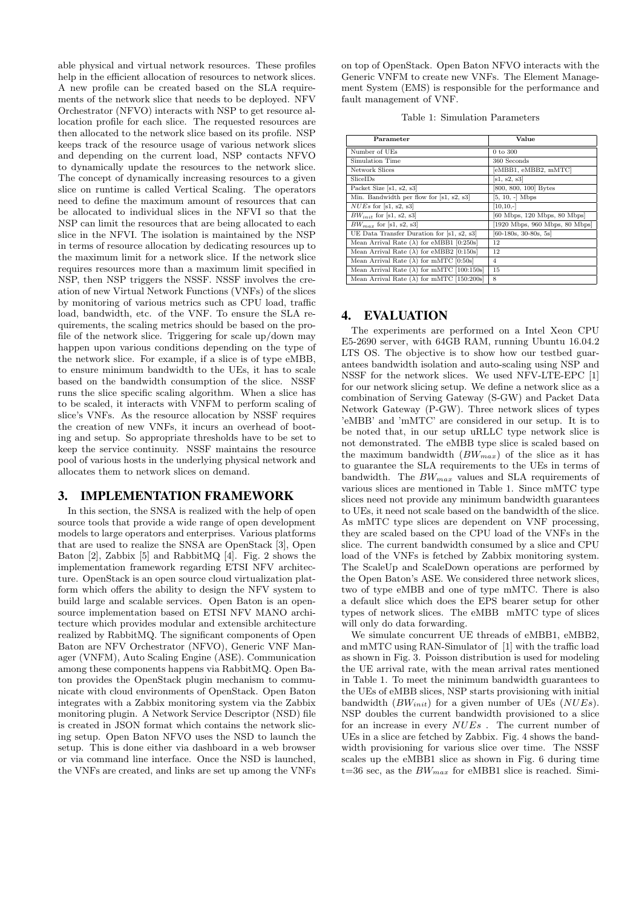able physical and virtual network resources. These profiles help in the efficient allocation of resources to network slices. A new profile can be created based on the SLA requirements of the network slice that needs to be deployed. NFV Orchestrator (NFVO) interacts with NSP to get resource allocation profile for each slice. The requested resources are then allocated to the network slice based on its profile. NSP keeps track of the resource usage of various network slices and depending on the current load, NSP contacts NFVO to dynamically update the resources to the network slice. The concept of dynamically increasing resources to a given slice on runtime is called Vertical Scaling. The operators need to define the maximum amount of resources that can be allocated to individual slices in the NFVI so that the NSP can limit the resources that are being allocated to each slice in the NFVI. The isolation is maintained by the NSP in terms of resource allocation by dedicating resources up to the maximum limit for a network slice. If the network slice requires resources more than a maximum limit specified in NSP, then NSP triggers the NSSF. NSSF involves the creation of new Virtual Network Functions (VNFs) of the slices by monitoring of various metrics such as CPU load, traffic load, bandwidth, etc. of the VNF. To ensure the SLA requirements, the scaling metrics should be based on the profile of the network slice. Triggering for scale up/down may happen upon various conditions depending on the type of the network slice. For example, if a slice is of type eMBB, to ensure minimum bandwidth to the UEs, it has to scale based on the bandwidth consumption of the slice. NSSF runs the slice specific scaling algorithm. When a slice has to be scaled, it interacts with VNFM to perform scaling of slice's VNFs. As the resource allocation by NSSF requires the creation of new VNFs, it incurs an overhead of booting and setup. So appropriate thresholds have to be set to keep the service continuity. NSSF maintains the resource pool of various hosts in the underlying physical network and allocates them to network slices on demand.

#### 3. IMPLEMENTATION FRAMEWORK

In this section, the SNSA is realized with the help of open source tools that provide a wide range of open development models to large operators and enterprises. Various platforms that are used to realize the SNSA are OpenStack [3], Open Baton [2], Zabbix [5] and RabbitMQ [4]. Fig. 2 shows the implementation framework regarding ETSI NFV architecture. OpenStack is an open source cloud virtualization platform which offers the ability to design the NFV system to build large and scalable services. Open Baton is an opensource implementation based on ETSI NFV MANO architecture which provides modular and extensible architecture realized by RabbitMQ. The significant components of Open Baton are NFV Orchestrator (NFVO), Generic VNF Manager (VNFM), Auto Scaling Engine (ASE). Communication among these components happens via RabbitMQ. Open Baton provides the OpenStack plugin mechanism to communicate with cloud environments of OpenStack. Open Baton integrates with a Zabbix monitoring system via the Zabbix monitoring plugin. A Network Service Descriptor (NSD) file is created in JSON format which contains the network slicing setup. Open Baton NFVO uses the NSD to launch the setup. This is done either via dashboard in a web browser or via command line interface. Once the NSD is launched, the VNFs are created, and links are set up among the VNFs on top of OpenStack. Open Baton NFVO interacts with the Generic VNFM to create new VNFs. The Element Management System (EMS) is responsible for the performance and fault management of VNF.

|  | Table 1: Simulation Parameters |  |
|--|--------------------------------|--|
|--|--------------------------------|--|

| Parameter                                           | Value                          |
|-----------------------------------------------------|--------------------------------|
| Number of UEs                                       | $0$ to $300\,$                 |
| Simulation Time                                     | 360 Seconds                    |
| Network Slices                                      | eMBB1, eMBB2, mMTC]            |
| SliceIDs                                            | [s1, s2, s3]                   |
| Packet Size [s1, s2, s3]                            | [800, 800, 100] Bytes          |
| Min. Bandwidth per flow for [s1, s2, s3]            | $[5, 10, -]$ Mbps              |
| $NUEs$ for [s1, s2, s3]                             | $[10, 10, -]$                  |
| $BW_{init}$ for [s1, s2, s3]                        | [60 Mbps, 120 Mbps, 80 Mbps]   |
| $BW_{max}$ for [s1, s2, s3]                         | [1920 Mbps, 960 Mbps, 80 Mbps] |
| UE Data Transfer Duration for [s1, s2, s3]          | $[60-180s, 30-80s, 5s]$        |
| Mean Arrival Rate $(\lambda)$ for eMBB1 [0:250s]    | 12                             |
| Mean Arrival Rate ( $\lambda$ ) for eMBB2 [0:150s]  | 12                             |
| Mean Arrival Rate $(\lambda)$ for mMTC [0:50s]      | $\overline{4}$                 |
| Mean Arrival Rate ( $\lambda$ ) for mMTC [100:150s] | 15                             |
| Mean Arrival Rate $(\lambda)$ for mMTC [150:200s]   | 8                              |

#### 4. EVALUATION

The experiments are performed on a Intel Xeon CPU E5-2690 server, with 64GB RAM, running Ubuntu 16.04.2 LTS OS. The objective is to show how our testbed guarantees bandwidth isolation and auto-scaling using NSP and NSSF for the network slices. We used NFV-LTE-EPC [1] for our network slicing setup. We define a network slice as a combination of Serving Gateway (S-GW) and Packet Data Network Gateway (P-GW). Three network slices of types 'eMBB' and 'mMTC' are considered in our setup. It is to be noted that, in our setup uRLLC type network slice is not demonstrated. The eMBB type slice is scaled based on the maximum bandwidth  $(BW_{max})$  of the slice as it has to guarantee the SLA requirements to the UEs in terms of bandwidth. The  $BW_{max}$  values and SLA requirements of various slices are mentioned in Table 1. Since mMTC type slices need not provide any minimum bandwidth guarantees to UEs, it need not scale based on the bandwidth of the slice. As mMTC type slices are dependent on VNF processing, they are scaled based on the CPU load of the VNFs in the slice. The current bandwidth consumed by a slice and CPU load of the VNFs is fetched by Zabbix monitoring system. The ScaleUp and ScaleDown operations are performed by the Open Baton's ASE. We considered three network slices, two of type eMBB and one of type mMTC. There is also a default slice which does the EPS bearer setup for other types of network slices. The eMBB mMTC type of slices will only do data forwarding.

We simulate concurrent UE threads of eMBB1, eMBB2, and mMTC using RAN-Simulator of [1] with the traffic load as shown in Fig. 3. Poisson distribution is used for modeling the UE arrival rate, with the mean arrival rates mentioned in Table 1. To meet the minimum bandwidth guarantees to the UEs of eMBB slices, NSP starts provisioning with initial bandwidth  $(BW_{init})$  for a given number of UEs  $(NUES)$ . NSP doubles the current bandwidth provisioned to a slice for an increase in every NUEs . The current number of UEs in a slice are fetched by Zabbix. Fig. 4 shows the bandwidth provisioning for various slice over time. The NSSF scales up the eMBB1 slice as shown in Fig. 6 during time t=36 sec, as the  $BW_{max}$  for eMBB1 slice is reached. Simi-